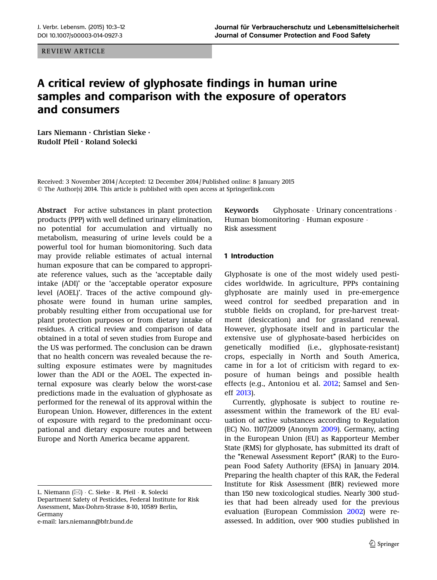REVIEW ARTICLE

# A critical review of glyphosate findings in human urine samples and comparison with the exposure of operators and consumers

Lars Niemann • Christian Sieke • Rudolf Pfeil • Roland Solecki

Received: 3 November 2014 / Accepted: 12 December 2014 / Published online: 8 January 2015  $\odot$  The Author(s) 2014. This article is published with open access at Springerlink.com

Abstract For active substances in plant protection products (PPP) with well defined urinary elimination, no potential for accumulation and virtually no metabolism, measuring of urine levels could be a powerful tool for human biomonitoring. Such data may provide reliable estimates of actual internal human exposure that can be compared to appropriate reference values, such as the 'acceptable daily intake (ADI)' or the 'acceptable operator exposure level (AOEL)'. Traces of the active compound glyphosate were found in human urine samples, probably resulting either from occupational use for plant protection purposes or from dietary intake of residues. A critical review and comparison of data obtained in a total of seven studies from Europe and the US was performed. The conclusion can be drawn that no health concern was revealed because the resulting exposure estimates were by magnitudes lower than the ADI or the AOEL. The expected internal exposure was clearly below the worst-case predictions made in the evaluation of glyphosate as performed for the renewal of its approval within the European Union. However, differences in the extent of exposure with regard to the predominant occupational and dietary exposure routes and between Europe and North America became apparent.

e-mail: lars.niemann@bfr.bund.de

**Keywords** Glyphosate  $\cdot$  Urinary concentrations  $\cdot$ Human biomonitoring - Human exposure - Risk assessment

## 1 Introduction

Glyphosate is one of the most widely used pesticides worldwide. In agriculture, PPPs containing glyphosate are mainly used in pre-emergence weed control for seedbed preparation and in stubble fields on cropland, for pre-harvest treatment (desiccation) and for grassland renewal. However, glyphosate itself and in particular the extensive use of glyphosate-based herbicides on genetically modified (i.e., glyphosate-resistant) crops, especially in North and South America, came in for a lot of criticism with regard to exposure of human beings and possible health effects (e.g., Antoniou et al. [2012](#page-9-0); Samsel and Seneff [2013\)](#page-9-0).

Currently, glyphosate is subject to routine reassessment within the framework of the EU evaluation of active substances according to Regulation (EC) No. 1107/2009 (Anonym [2009](#page-9-0)). Germany, acting in the European Union (EU) as Rapporteur Member State (RMS) for glyphosate, has submitted its draft of the "Renewal Assessment Report" (RAR) to the European Food Safety Authority (EFSA) in January 2014. Preparing the health chapter of this RAR, the Federal Institute for Risk Assessment (BfR) reviewed more than 150 new toxicological studies. Nearly 300 studies that had been already used for the previous evaluation (European Commission [2002\)](#page-9-0) were reassessed. In addition, over 900 studies published in

L. Niemann (⊠) · C. Sieke · R. Pfeil · R. Solecki Department Safety of Pesticides, Federal Institute for Risk Assessment, Max-Dohrn-Strasse 8-10, 10589 Berlin, Germany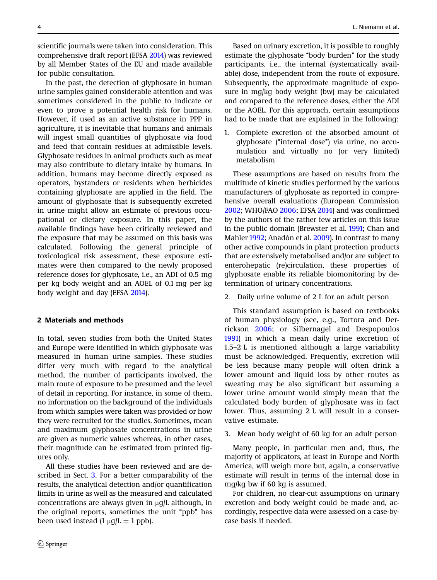scientific journals were taken into consideration. This comprehensive draft report (EFSA [2014\)](#page-9-0) was reviewed by all Member States of the EU and made available for public consultation.

In the past, the detection of glyphosate in human urine samples gained considerable attention and was sometimes considered in the public to indicate or even to prove a potential health risk for humans. However, if used as an active substance in PPP in agriculture, it is inevitable that humans and animals will ingest small quantities of glyphosate via food and feed that contain residues at admissible levels. Glyphosate residues in animal products such as meat may also contribute to dietary intake by humans. In addition, humans may become directly exposed as operators, bystanders or residents when herbicides containing glyphosate are applied in the field. The amount of glyphosate that is subsequently excreted in urine might allow an estimate of previous occupational or dietary exposure. In this paper, the available findings have been critically reviewed and the exposure that may be assumed on this basis was calculated. Following the general principle of toxicological risk assessment, these exposure estimates were then compared to the newly proposed reference doses for glyphosate, i.e., an ADI of 0.5 mg per kg body weight and an AOEL of 0.1 mg per kg body weight and day (EFSA [2014](#page-9-0)).

## 2 Materials and methods

In total, seven studies from both the United States and Europe were identified in which glyphosate was measured in human urine samples. These studies differ very much with regard to the analytical method, the number of participants involved, the main route of exposure to be presumed and the level of detail in reporting. For instance, in some of them, no information on the background of the individuals from which samples were taken was provided or how they were recruited for the studies. Sometimes, mean and maximum glyphosate concentrations in urine are given as numeric values whereas, in other cases, their magnitude can be estimated from printed figures only.

All these studies have been reviewed and are described in Sect. [3.](#page-2-0) For a better comparability of the results, the analytical detection and/or quantification limits in urine as well as the measured and calculated concentrations are always given in  $\mu$ g/L although, in the original reports, sometimes the unit "ppb" has been used instead  $(1 \mu g/L = 1 \text{ ppb}).$ 

Based on urinary excretion, it is possible to roughly

estimate the glyphosate "body burden" for the study participants, i.e., the internal (systematically available) dose, independent from the route of exposure. Subsequently, the approximate magnitude of exposure in mg/kg body weight (bw) may be calculated and compared to the reference doses, either the ADI or the AOEL. For this approach, certain assumptions had to be made that are explained in the following:

1. Complete excretion of the absorbed amount of glyphosate (''internal dose'') via urine, no accumulation and virtually no (or very limited) metabolism

These assumptions are based on results from the multitude of kinetic studies performed by the various manufacturers of glyphosate as reported in comprehensive overall evaluations (European Commission [2002;](#page-9-0) WHO/FAO [2006;](#page-9-0) EFSA [2014](#page-9-0)) and was confirmed by the authors of the rather few articles on this issue in the public domain (Brewster et al. [1991](#page-9-0); Chan and Mahler [1992;](#page-9-0) Anadón et al. [2009\)](#page-9-0). In contrast to many other active compounds in plant protection products that are extensively metabolised and/or are subject to enterohepatic (re)circulation, these properties of glyphosate enable its reliable biomonitoring by determination of urinary concentrations.

2. Daily urine volume of 2 L for an adult person

This standard assumption is based on textbooks of human physiology (see, e.g., Tortora and Derrickson [2006;](#page-9-0) or Silbernagel and Despopoulos [1991](#page-9-0)) in which a mean daily urine excretion of 1.5–2 L is mentioned although a large variability must be acknowledged. Frequently, excretion will be less because many people will often drink a lower amount and liquid loss by other routes as sweating may be also significant but assuming a lower urine amount would simply mean that the calculated body burden of glyphosate was in fact lower. Thus, assuming 2 L will result in a conservative estimate.

3. Mean body weight of 60 kg for an adult person

Many people, in particular men and, thus, the majority of applicators, at least in Europe and North America, will weigh more but, again, a conservative estimate will result in terms of the internal dose in mg/kg bw if 60 kg is assumed.

For children, no clear-cut assumptions on urinary excretion and body weight could be made and, accordingly, respective data were assessed on a case-bycase basis if needed.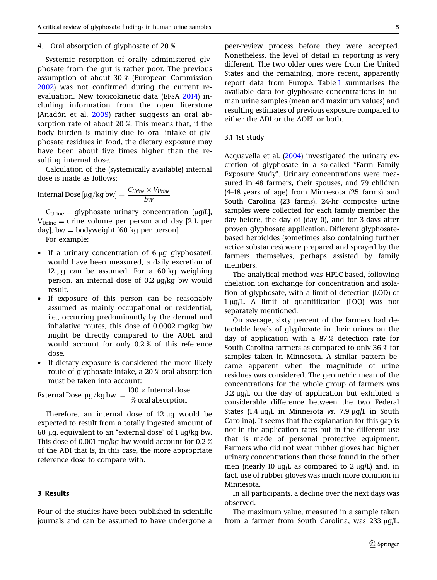#### <span id="page-2-0"></span>4. Oral absorption of glyphosate of 20 %

Systemic resorption of orally administered glyphosate from the gut is rather poor. The previous assumption of about 30 % (European Commission [2002](#page-9-0)) was not confirmed during the current reevaluation. New toxicokinetic data (EFSA [2014\)](#page-9-0) including information from the open literature (Anadón et al. [2009](#page-9-0)) rather suggests an oral absorption rate of about 20 %. This means that, if the body burden is mainly due to oral intake of glyphosate residues in food, the dietary exposure may have been about five times higher than the resulting internal dose.

Calculation of the (systemically available) internal dose is made as follows:

$$
Internal \, Does \, [\mu g/kg \, bw] = \frac{C_{Urine} \times V_{Urine}}{bw}
$$

 $C_{Urine} =$  glyphosate urinary concentration [ $\mu$ g/L],  $V_{\text{Urine}} =$  urine volume per person and day [2 L per day], bw = bodyweight  $[60 \text{ kg per person}]$ 

For example:

- If a urinary concentration of  $6 \mu q$  glyphosate/L would have been measured, a daily excretion of 12  $\mu$ g can be assumed. For a 60 kg weighing person, an internal dose of  $0.2 \mu q/kg$  bw would result.
- If exposure of this person can be reasonably assumed as mainly occupational or residential, i.e., occurring predominantly by the dermal and inhalative routes, this dose of 0.0002 mg/kg bw might be directly compared to the AOEL and would account for only 0.2 % of this reference dose.
- If dietary exposure is considered the more likely route of glyphosate intake, a 20 % oral absorption must be taken into account:

External Dose  $[\mu g/kg$  bw $]=\frac{100\times \text{Internal dose}}{\% \text{ oral absorption}}$ 

Therefore, an internal dose of  $12 \mu$ g would be expected to result from a totally ingested amount of 60  $\mu$ g, equivalent to an "external dose" of 1  $\mu$ g/kg bw. This dose of 0.001 mg/kg bw would account for 0.2 % of the ADI that is, in this case, the more appropriate reference dose to compare with.

## 3 Results

Four of the studies have been published in scientific journals and can be assumed to have undergone a

peer-review process before they were accepted. Nonetheless, the level of detail in reporting is very different. The two older ones were from the United States and the remaining, more recent, apparently report data from Europe. Table [1](#page-3-0) summarises the available data for glyphosate concentrations in human urine samples (mean and maximum values) and resulting estimates of previous exposure compared to either the ADI or the AOEL or both.

### 3.1 1st study

Acquavella et al. [\(2004\)](#page-9-0) investigated the urinary excretion of glyphosate in a so-called "Farm Family Exposure Study''. Urinary concentrations were measured in 48 farmers, their spouses, and 79 children (4–18 years of age) from Minnesota (25 farms) and South Carolina (23 farms). 24-hr composite urine samples were collected for each family member the day before, the day of (day 0), and for 3 days after proven glyphosate application. Different glyphosatebased herbicides (sometimes also containing further active substances) were prepared and sprayed by the farmers themselves, perhaps assisted by family members.

The analytical method was HPLC-based, following chelation ion exchange for concentration and isolation of glyphosate, with a limit of detection (LOD) of 1 µg/L. A limit of quantification (LOQ) was not separately mentioned.

On average, sixty percent of the farmers had detectable levels of glyphosate in their urines on the day of application with a 87 % detection rate for South Carolina farmers as compared to only 36 % for samples taken in Minnesota. A similar pattern became apparent when the magnitude of urine residues was considered. The geometric mean of the concentrations for the whole group of farmers was 3.2  $\mu$ q/L on the day of application but exhibited a considerable difference between the two Federal States (1.4  $\mu$ q/L in Minnesota vs. 7.9  $\mu$ q/L in South Carolina). It seems that the explanation for this gap is not in the application rates but in the different use that is made of personal protective equipment. Farmers who did not wear rubber gloves had higher urinary concentrations than those found in the other men (nearly 10  $\mu$ g/L as compared to 2  $\mu$ g/L) and, in fact, use of rubber gloves was much more common in Minnesota.

In all participants, a decline over the next days was observed.

The maximum value, measured in a sample taken from a farmer from South Carolina, was  $233 \mu g/L$ .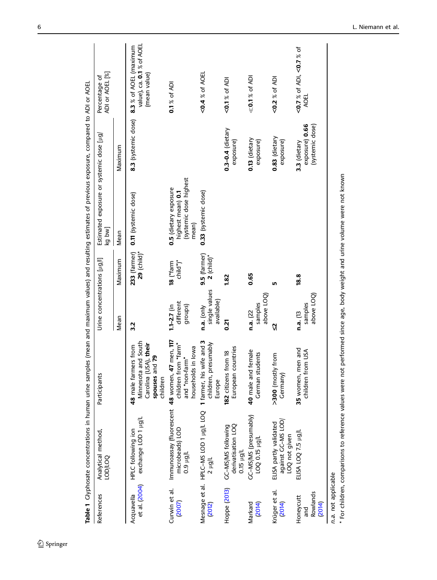<span id="page-3-0"></span>

|                                             | Table 1 Clyphosate concentrations in human urine samples (mean and maximum values) and resulting estimates of previous exposure, compared to ADI or AOEL |                                                                                                          |                                           |                                |                                                                               |                                                   |                                                                     |
|---------------------------------------------|----------------------------------------------------------------------------------------------------------------------------------------------------------|----------------------------------------------------------------------------------------------------------|-------------------------------------------|--------------------------------|-------------------------------------------------------------------------------|---------------------------------------------------|---------------------------------------------------------------------|
| References                                  | Analytical method,<br><b>DOD/LOQ</b>                                                                                                                     | Participants                                                                                             | Urine concentrations $[\mu g / I]$        |                                | Estimated exposure or systemic dose [µg/<br>kg bw]                            |                                                   | ADI or AOEL [%]<br>Percentage of                                    |
|                                             |                                                                                                                                                          |                                                                                                          | Mean                                      | Maximum                        | Mean                                                                          | Maximum                                           |                                                                     |
| et al. (2004)<br>Acquavella                 | exchange LOD 1 µg/L<br>HPLC following ion                                                                                                                | Minnesota and South<br>(USA), their<br>48 male farmers from<br>and 79<br>Carolina<br>spouses<br>children | 3.2                                       | $29$ (child)*<br>233 (farmer)  | 0.11 (systemic dose)                                                          | 8.3 (systemic dose)                               | value), ca. 0.1 % of AOEL<br>8.3 % of AOEL (maximum<br>(mean value) |
| Curwin et al.<br>(2007)                     | Immunoassay (fluorescent 48 women, 47 men, 117<br>microbeads) LOD<br>1/bri 6'0                                                                           | "farm"<br>households in lowa<br>and "non-farm"<br>children f                                             | different<br>groups)<br>$1.1 - 2.7$ (in   | child")*<br>18 ("farm          | (systemic dose highest<br>0.5 (dietary exposure<br>highest mean) 0.1<br>mean) |                                                   | 0.1 % of ADI                                                        |
| 2012)                                       | Mesnage et al. HPLC-MS LOD 1 µg/L LOQ<br>Thit z                                                                                                          | 1 farmer, his wife and 3<br>children, presumably<br>Europe                                               | single values<br>available)<br>n.a. (only | $9.5$ (farmer)<br>$2$ (child)* | 0.33 (systemic dose)                                                          |                                                   | $0.4$ % of AOEL                                                     |
| Hoppe (2013)                                | derivatisation LOQ<br>0.15 µg/L<br>GC-MS/MS following                                                                                                    | countries<br>182 citizens from 18<br>European                                                            | <u>ក្ត</u>                                | 1.82                           |                                                                               | $0.3 - 0.4$ (dietary<br>exposure)                 | $0.1\%$ of ADI                                                      |
| Markard<br>(2014)                           | GC–MS/MS (presumably)<br>LOQ 0.15 µg/L                                                                                                                   | 40 male and female<br>German students                                                                    | above LOQ)<br>samples<br>n.a. (22)        | 0.65                           |                                                                               | $0.13$ (dietary<br>exposure)                      | $\ll$ 0.1 % of ADI                                                  |
| Krüger et al.<br>2014)                      | against GC-MS LOD<br>ELISA partly validated<br>LOQ not given                                                                                             | >300 (mostly from<br>Germany)                                                                            | Ŋ                                         | ۱Ω                             |                                                                               | $0.83$ (dietary<br>exposure)                      | $<$ 0.2 $\%$ of ADI                                                 |
| Rowlands<br>Honeycutt<br>2014)<br>and<br>Ta | ELISA LOQ 7.5 µg/L                                                                                                                                       | 35 women, men and<br>from USA<br>children                                                                | above LOQ)<br>samples<br>n.a. (13         | 18.8                           |                                                                               | exposure) 0.66<br>(systemic dose)<br>3.3 (dietary | <0.7 % of ADI, <0.7 % of<br>AOEL                                    |
| n.a. not applicable                         |                                                                                                                                                          |                                                                                                          |                                           |                                |                                                                               |                                                   |                                                                     |

n.a. not applicable<br>\* For children, comparisons to reference values were not performed since age, body weight and urine volume were not known \* For children, comparisons to reference values were not performed since age, body weight and urine volume were not known

 $\underline{\textcircled{\tiny 2}}$  Springer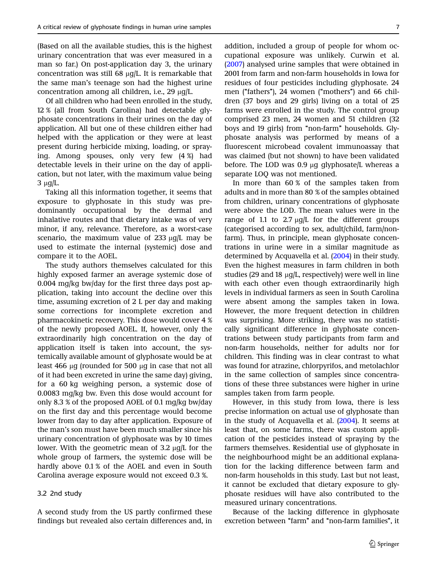(Based on all the available studies, this is the highest urinary concentration that was ever measured in a man so far.) On post-application day 3, the urinary concentration was still 68  $\mu$ g/L. It is remarkable that the same man's teenage son had the highest urine concentration among all children, i.e.,  $29 \mu q/L$ .

Of all children who had been enrolled in the study, 12 % (all from South Carolina) had detectable glyphosate concentrations in their urines on the day of application. All but one of these children either had helped with the application or they were at least present during herbicide mixing, loading, or spraying. Among spouses, only very few (4 %) had detectable levels in their urine on the day of application, but not later, with the maximum value being  $3 \mu q/L$ .

Taking all this information together, it seems that exposure to glyphosate in this study was predominantly occupational by the dermal and inhalative routes and that dietary intake was of very minor, if any, relevance. Therefore, as a worst-case scenario, the maximum value of  $233 \mu g/L$  may be used to estimate the internal (systemic) dose and compare it to the AOEL.

The study authors themselves calculated for this highly exposed farmer an average systemic dose of 0.004 mg/kg bw/day for the first three days post application, taking into account the decline over this time, assuming excretion of 2 L per day and making some corrections for incomplete excretion and pharmacokinetic recovery. This dose would cover 4 % of the newly proposed AOEL. If, however, only the extraordinarily high concentration on the day of application itself is taken into account, the systemically available amount of glyphosate would be at least 466  $\mu$ q (rounded for 500  $\mu$ q in case that not all of it had been excreted in urine the same day) giving, for a 60 kg weighing person, a systemic dose of 0.0083 mg/kg bw. Even this dose would account for only 8.3 % of the proposed AOEL of 0.1 mg/kg bw/day on the first day and this percentage would become lower from day to day after application. Exposure of the man's son must have been much smaller since his urinary concentration of glyphosate was by 10 times lower. With the geometric mean of  $3.2 \mu g/L$  for the whole group of farmers, the systemic dose will be hardly above 0.1 % of the AOEL and even in South Carolina average exposure would not exceed 0.3 %.

## 3.2 2nd study

A second study from the US partly confirmed these findings but revealed also certain differences and, in

addition, included a group of people for whom occupational exposure was unlikely. Curwin et al. ([2007](#page-9-0)) analysed urine samples that were obtained in 2001 from farm and non-farm households in Iowa for residues of four pesticides including glyphosate. 24 men ("fathers"), 24 women ("mothers") and 66 children (37 boys and 29 girls) living on a total of 25 farms were enrolled in the study. The control group comprised 23 men, 24 women and 51 children (32 boys and 19 girls) from "non-farm" households. Glyphosate analysis was performed by means of a fluorescent microbead covalent immunoassay that was claimed (but not shown) to have been validated before. The LOD was  $0.9 \mu q$  glyphosate/L whereas a separate LOQ was not mentioned.

In more than 60 % of the samples taken from adults and in more than 80 % of the samples obtained from children, urinary concentrations of glyphosate were above the LOD. The mean values were in the range of 1.1 to 2.7  $\mu$ g/L for the different groups (categorised according to sex, adult/child, farm/nonfarm). Thus, in principle, mean glyphosate concentrations in urine were in a similar magnitude as determined by Acquavella et al. [\(2004](#page-9-0)) in their study. Even the highest measures in farm children in both studies (29 and 18  $\mu$ q/L, respectively) were well in line with each other even though extraordinarily high levels in individual farmers as seen in South Carolina were absent among the samples taken in Iowa. However, the more frequent detection in children was surprising. More striking, there was no statistically significant difference in glyphosate concentrations between study participants from farm and non-farm households, neither for adults nor for children. This finding was in clear contrast to what was found for atrazine, chlorpyrifos, and metolachlor in the same collection of samples since concentrations of these three substances were higher in urine samples taken from farm people.

However, in this study from Iowa, there is less precise information on actual use of glyphosate than in the study of Acquavella et al. [\(2004](#page-9-0)). It seems at least that, on some farms, there was custom application of the pesticides instead of spraying by the farmers themselves. Residential use of glyphosate in the neighbourhood might be an additional explanation for the lacking difference between farm and non-farm households in this study. Last but not least, it cannot be excluded that dietary exposure to glyphosate residues will have also contributed to the measured urinary concentrations.

Because of the lacking difference in glyphosate excretion between "farm" and "non-farm families", it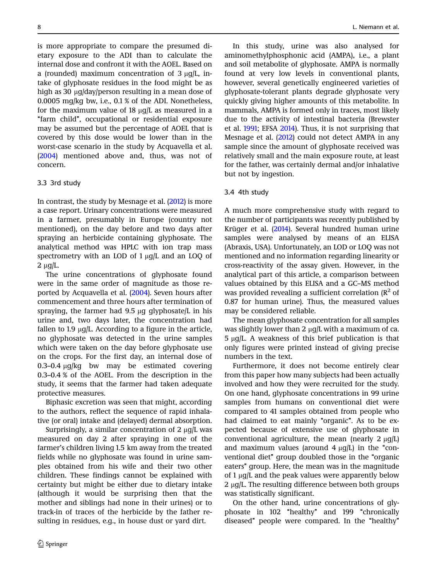is more appropriate to compare the presumed dietary exposure to the ADI than to calculate the internal dose and confront it with the AOEL. Based on a (rounded) maximum concentration of  $3 \mu q/L$ , intake of glyphosate residues in the food might be as high as 30  $\mu$ g/day/person resulting in a mean dose of 0.0005 mg/kg bw, i.e., 0.1 % of the ADI. Nonetheless, for the maximum value of 18  $\mu$ q/L as measured in a ''farm child'', occupational or residential exposure may be assumed but the percentage of AOEL that is covered by this dose would be lower than in the worst-case scenario in the study by Acquavella et al. ([2004\)](#page-9-0) mentioned above and, thus, was not of concern.

### 3.3 3rd study

In contrast, the study by Mesnage et al. ([2012\)](#page-9-0) is more a case report. Urinary concentrations were measured in a farmer, presumably in Europe (country not mentioned), on the day before and two days after spraying an herbicide containing glyphosate. The analytical method was HPLC with ion trap mass spectrometry with an LOD of  $1 \mu g/L$  and an LOQ of  $2 \mu g/L$ .

The urine concentrations of glyphosate found were in the same order of magnitude as those reported by Acquavella et al. [\(2004](#page-9-0)). Seven hours after commencement and three hours after termination of spraying, the farmer had  $9.5 \mu$ g glyphosate/L in his urine and, two days later, the concentration had fallen to 1.9  $\mu$ g/L. According to a figure in the article, no glyphosate was detected in the urine samples which were taken on the day before glyphosate use on the crops. For the first day, an internal dose of 0.3–0.4  $\mu$ g/kg bw may be estimated covering 0.3–0.4 % of the AOEL. From the description in the study, it seems that the farmer had taken adequate protective measures.

Biphasic excretion was seen that might, according to the authors, reflect the sequence of rapid inhalative (or oral) intake and (delayed) dermal absorption.

Surprisingly, a similar concentration of  $2 \mu g/L$  was measured on day 2 after spraying in one of the farmer's children living 1.5 km away from the treated fields while no glyphosate was found in urine samples obtained from his wife and their two other children. These findings cannot be explained with certainty but might be either due to dietary intake (although it would be surprising then that the mother and siblings had none in their urines) or to track-in of traces of the herbicide by the father resulting in residues, e.g., in house dust or yard dirt.

In this study, urine was also analysed for aminomethylphosphonic acid (AMPA), i.e., a plant and soil metabolite of glyphosate. AMPA is normally found at very low levels in conventional plants, however, several genetically engineered varieties of glyphosate-tolerant plants degrade glyphosate very quickly giving higher amounts of this metabolite. In mammals, AMPA is formed only in traces, most likely due to the activity of intestinal bacteria (Brewster et al. [1991;](#page-9-0) EFSA [2014](#page-9-0)). Thus, it is not surprising that Mesnage et al. [\(2012\)](#page-9-0) could not detect AMPA in any sample since the amount of glyphosate received was relatively small and the main exposure route, at least for the father, was certainly dermal and/or inhalative but not by ingestion.

## 3.4 4th study

A much more comprehensive study with regard to the number of participants was recently published by Krüger et al. [\(2014](#page-9-0)). Several hundred human urine samples were analysed by means of an ELISA (Abraxis, USA). Unfortunately, an LOD or LOQ was not mentioned and no information regarding linearity or cross-reactivity of the assay given. However, in the analytical part of this article, a comparison between values obtained by this ELISA and a GC–MS method was provided revealing a sufficient correlation  $(R^2 \text{ of }$ 0.87 for human urine). Thus, the measured values may be considered reliable.

The mean glyphosate concentration for all samples was slightly lower than 2  $\mu$ g/L with a maximum of ca.  $5 \mu q/L$ . A weakness of this brief publication is that only figures were printed instead of giving precise numbers in the text.

Furthermore, it does not become entirely clear from this paper how many subjects had been actually involved and how they were recruited for the study. On one hand, glyphosate concentrations in 99 urine samples from humans on conventional diet were compared to 41 samples obtained from people who had claimed to eat mainly "organic". As to be expected because of extensive use of glyphosate in conventional agriculture, the mean (nearly  $2 \mu g/L$ ) and maximum values (around  $4 \mu g/L$ ) in the "conventional diet" group doubled those in the "organic eaters'' group. Here, the mean was in the magnitude of  $1 \mu g/L$  and the peak values were apparently below  $2 \mu q/L$ . The resulting difference between both groups was statistically significant.

On the other hand, urine concentrations of glyphosate in 102 "healthy" and 199 "chronically diseased" people were compared. In the "healthy"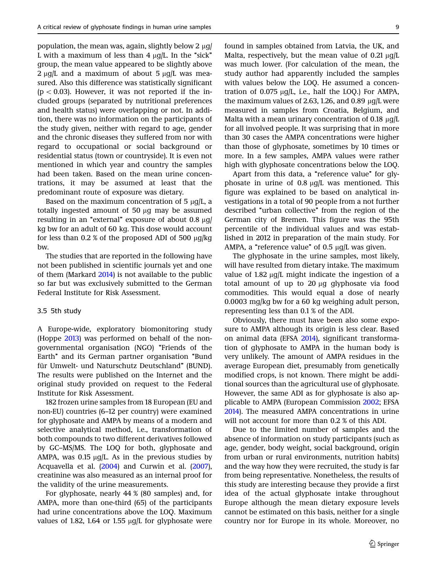population, the mean was, again, slightly below 2 ug/ L with a maximum of less than  $4 \mu g/L$ . In the "sick" group, the mean value appeared to be slightly above  $2 \mu q/L$  and a maximum of about 5  $\mu q/L$  was measured. Also this difference was statistically significant  $(p < 0.03)$ . However, it was not reported if the included groups (separated by nutritional preferences and health status) were overlapping or not. In addition, there was no information on the participants of the study given, neither with regard to age, gender and the chronic diseases they suffered from nor with regard to occupational or social background or residential status (town or countryside). It is even not mentioned in which year and country the samples had been taken. Based on the mean urine concentrations, it may be assumed at least that the predominant route of exposure was dietary.

Based on the maximum concentration of  $5 \mu g/L$ , a totally ingested amount of 50  $\mu$ g may be assumed resulting in an "external" exposure of about  $0.8 \mu g$ kg bw for an adult of 60 kg. This dose would account for less than  $0.2\%$  of the proposed ADI of 500  $\mu$ g/kg bw.

The studies that are reported in the following have not been published in scientific journals yet and one of them (Markard [2014\)](#page-9-0) is not available to the public so far but was exclusively submitted to the German Federal Institute for Risk Assessment.

#### 3.5 5th study

A Europe-wide, exploratory biomonitoring study (Hoppe [2013\)](#page-9-0) was performed on behalf of the nongovernmental organisation (NGO) ''Friends of the Earth" and its German partner organisation "Bund" für Umwelt- und Naturschutz Deutschland" (BUND). The results were published on the Internet and the original study provided on request to the Federal Institute for Risk Assessment.

182 frozen urine samples from 18 European (EU and non-EU) countries (6–12 per country) were examined for glyphosate and AMPA by means of a modern and selective analytical method, i.e., transformation of both compounds to two different derivatives followed by GC–MS/MS. The LOQ for both, glyphosate and AMPA, was  $0.15 \mu g/L$ . As in the previous studies by Acquavella et al. [\(2004](#page-9-0)) and Curwin et al. [\(2007\)](#page-9-0), creatinine was also measured as an internal proof for the validity of the urine measurements.

For glyphosate, nearly 44 % (80 samples) and, for AMPA, more than one-third (65) of the participants had urine concentrations above the LOQ. Maximum values of 1.82, 1.64 or 1.55  $\mu$ g/L for glyphosate were found in samples obtained from Latvia, the UK, and Malta, respectively, but the mean value of  $0.21 \mu g/L$ was much lower. (For calculation of the mean, the study author had apparently included the samples with values below the LOQ. He assumed a concentration of  $0.075 \mu q/L$ , i.e., half the LOQ.) For AMPA, the maximum values of 2.63, 1.26, and 0.89  $\mu$ q/L were measured in samples from Croatia, Belgium, and Malta with a mean urinary concentration of 0.18  $\mu$ g/L for all involved people. It was surprising that in more than 30 cases the AMPA concentrations were higher than those of glyphosate, sometimes by 10 times or more. In a few samples, AMPA values were rather high with glyphosate concentrations below the LOQ.

Apart from this data, a "reference value" for glyphosate in urine of  $0.8 \mu q/L$  was mentioned. This figure was explained to be based on analytical investigations in a total of 90 people from a not further described "urban collective" from the region of the German city of Bremen. This figure was the 95th percentile of the individual values and was established in 2012 in preparation of the main study. For AMPA, a "reference value" of  $0.5 \mu g/L$  was given.

The glyphosate in the urine samples, most likely, will have resulted from dietary intake. The maximum value of  $1.82 \mu q/L$  might indicate the ingestion of a total amount of up to  $20 \mu$ g glyphosate via food commodities. This would equal a dose of nearly 0.0003 mg/kg bw for a 60 kg weighing adult person, representing less than 0.1 % of the ADI.

Obviously, there must have been also some exposure to AMPA although its origin is less clear. Based on animal data (EFSA [2014\)](#page-9-0), significant transformation of glyphosate to AMPA in the human body is very unlikely. The amount of AMPA residues in the average European diet, presumably from genetically modified crops, is not known. There might be additional sources than the agricultural use of glyphosate. However, the same ADI as for glyphosate is also applicable to AMPA (European Commission [2002;](#page-9-0) EFSA [2014](#page-9-0)). The measured AMPA concentrations in urine will not account for more than 0.2 % of this ADI.

Due to the limited number of samples and the absence of information on study participants (such as age, gender, body weight, social background, origin from urban or rural environments, nutrition habits) and the way how they were recruited, the study is far from being representative. Nonetheless, the results of this study are interesting because they provide a first idea of the actual glyphosate intake throughout Europe although the mean dietary exposure levels cannot be estimated on this basis, neither for a single country nor for Europe in its whole. Moreover, no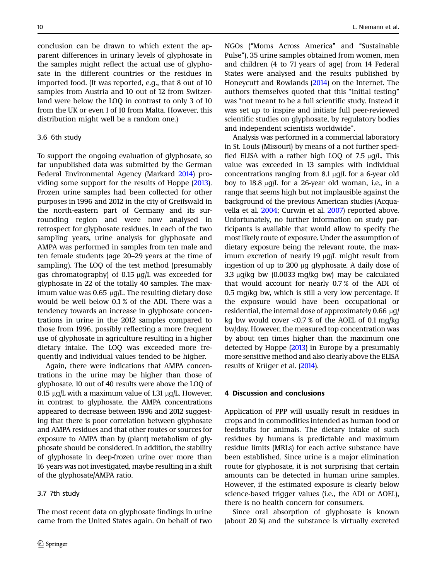conclusion can be drawn to which extent the apparent differences in urinary levels of glyphosate in the samples might reflect the actual use of glyphosate in the different countries or the residues in imported food. (It was reported, e.g., that 8 out of 10 samples from Austria and 10 out of 12 from Switzerland were below the LOQ in contrast to only 3 of 10 from the UK or even 1 of 10 from Malta. However, this distribution might well be a random one.)

## 3.6 6th study

To support the ongoing evaluation of glyphosate, so far unpublished data was submitted by the German Federal Environmental Agency (Markard [2014](#page-9-0)) providing some support for the results of Hoppe [\(2013\)](#page-9-0). Frozen urine samples had been collected for other purposes in 1996 and 2012 in the city of Greifswald in the north-eastern part of Germany and its surrounding region and were now analysed in retrospect for glyphosate residues. In each of the two sampling years, urine analysis for glyphosate and AMPA was performed in samples from ten male and ten female students (age 20–29 years at the time of sampling). The LOQ of the test method (presumably gas chromatography) of  $0.15 \mu g/L$  was exceeded for glyphosate in 22 of the totally 40 samples. The maximum value was  $0.65 \mu g/L$ . The resulting dietary dose would be well below 0.1 % of the ADI. There was a tendency towards an increase in glyphosate concentrations in urine in the 2012 samples compared to those from 1996, possibly reflecting a more frequent use of glyphosate in agriculture resulting in a higher dietary intake. The LOQ was exceeded more frequently and individual values tended to be higher.

Again, there were indications that AMPA concentrations in the urine may be higher than those of glyphosate. 10 out of 40 results were above the LOQ of 0.15  $\mu$ q/L with a maximum value of 1.31  $\mu$ q/L. However, in contrast to glyphosate, the AMPA concentrations appeared to decrease between 1996 and 2012 suggesting that there is poor correlation between glyphosate and AMPA residues and that other routes or sources for exposure to AMPA than by (plant) metabolism of glyphosate should be considered. In addition, the stability of glyphosate in deep-frozen urine over more than 16 years was not investigated, maybe resulting in a shift of the glyphosate/AMPA ratio.

#### 3.7 7th study

The most recent data on glyphosate findings in urine came from the United States again. On behalf of two NGOs (''Moms Across America'' and ''Sustainable Pulse''), 35 urine samples obtained from women, men and children (4 to 71 years of age) from 14 Federal States were analysed and the results published by Honeycutt and Rowlands [\(2014](#page-9-0)) on the Internet. The authors themselves quoted that this "initial testing" was "not meant to be a full scientific study. Instead it was set up to inspire and initiate full peer-reviewed scientific studies on glyphosate, by regulatory bodies and independent scientists worldwide''.

Analysis was performed in a commercial laboratory in St. Louis (Missouri) by means of a not further specified ELISA with a rather high LOQ of  $7.5 \mu g/L$ . This value was exceeded in 13 samples with individual concentrations ranging from 8.1  $\mu$ g/L for a 6-year old boy to  $18.8 \mu q/L$  for a 26-year old woman, i.e., in a range that seems high but not implausible against the background of the previous American studies (Acquavella et al. [2004;](#page-9-0) Curwin et al. [2007\)](#page-9-0) reported above. Unfortunately, no further information on study participants is available that would allow to specify the most likely route of exposure. Under the assumption of dietary exposure being the relevant route, the maximum excretion of nearly  $19 \mu g/L$  might result from ingestion of up to 200 µg glyphosate. A daily dose of 3.3  $\mu$ g/kg bw (0.0033 mg/kg bw) may be calculated that would account for nearly 0.7 % of the ADI of 0.5 mg/kg bw, which is still a very low percentage. If the exposure would have been occupational or residential, the internal dose of approximately 0.66  $\mu$ g/ kg bw would cover  $\langle 0.7 \times 0.7 \times 0.6 \rangle$  the AOEL of 0.1 mg/kg bw/day. However, the measured top concentration was by about ten times higher than the maximum one detected by Hoppe [\(2013\)](#page-9-0) in Europe by a presumably more sensitive method and also clearly above the ELISA results of Krüger et al. ([2014](#page-9-0)).

#### 4 Discussion and conclusions

Application of PPP will usually result in residues in crops and in commodities intended as human food or feedstuffs for animals. The dietary intake of such residues by humans is predictable and maximum residue limits (MRLs) for each active substance have been established. Since urine is a major elimination route for glyphosate, it is not surprising that certain amounts can be detected in human urine samples. However, if the estimated exposure is clearly below science-based trigger values (i.e., the ADI or AOEL), there is no health concern for consumers.

Since oral absorption of glyphosate is known (about 20 %) and the substance is virtually excreted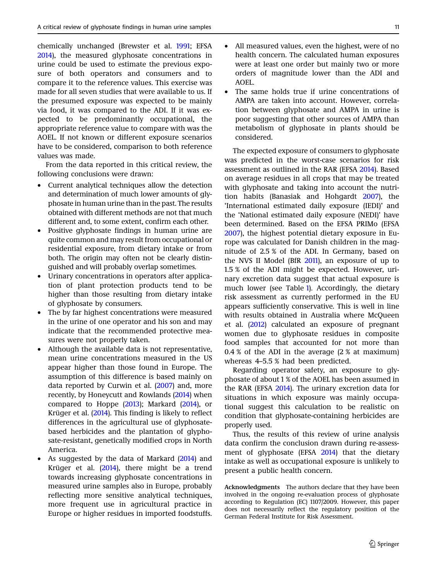chemically unchanged (Brewster et al. [1991;](#page-9-0) EFSA [2014\)](#page-9-0), the measured glyphosate concentrations in urine could be used to estimate the previous exposure of both operators and consumers and to compare it to the reference values. This exercise was made for all seven studies that were available to us. If the presumed exposure was expected to be mainly via food, it was compared to the ADI. If it was expected to be predominantly occupational, the appropriate reference value to compare with was the AOEL. If not known or different exposure scenarios have to be considered, comparison to both reference values was made.

From the data reported in this critical review, the following conclusions were drawn:

- Current analytical techniques allow the detection and determination of much lower amounts of glyphosate in human urine than in the past. The results obtained with different methods are not that much different and, to some extent, confirm each other.
- Positive glyphosate findings in human urine are quite common and may result from occupational or residential exposure, from dietary intake or from both. The origin may often not be clearly distinguished and will probably overlap sometimes.
- Urinary concentrations in operators after application of plant protection products tend to be higher than those resulting from dietary intake of glyphosate by consumers.
- The by far highest concentrations were measured in the urine of one operator and his son and may indicate that the recommended protective measures were not properly taken.
- Although the available data is not representative, mean urine concentrations measured in the US appear higher than those found in Europe. The assumption of this difference is based mainly on data reported by Curwin et al. ([2007](#page-9-0)) and, more recently, by Honeycutt and Rowlands ([2014](#page-9-0)) when compared to Hoppe [\(2013](#page-9-0)); Markard [\(2014](#page-9-0)), or Krüger et al. [\(2014](#page-9-0)). This finding is likely to reflect differences in the agricultural use of glyphosatebased herbicides and the plantation of glyphosate-resistant, genetically modified crops in North America.
- As suggested by the data of Markard [\(2014](#page-9-0)) and Krüger et al.  $(2014)$  $(2014)$ , there might be a trend towards increasing glyphosate concentrations in measured urine samples also in Europe, probably reflecting more sensitive analytical techniques, more frequent use in agricultural practice in Europe or higher residues in imported foodstuffs.
- All measured values, even the highest, were of no health concern. The calculated human exposures were at least one order but mainly two or more orders of magnitude lower than the ADI and AOEL.
- The same holds true if urine concentrations of AMPA are taken into account. However, correlation between glyphosate and AMPA in urine is poor suggesting that other sources of AMPA than metabolism of glyphosate in plants should be considered.

The expected exposure of consumers to glyphosate was predicted in the worst-case scenarios for risk assessment as outlined in the RAR (EFSA [2014](#page-9-0)). Based on average residues in all crops that may be treated with glyphosate and taking into account the nutrition habits (Banasiak and Hohgardt [2007](#page-9-0)), the 'International estimated daily exposure (IEDI)' and the 'National estimated daily exposure (NEDI)' have been determined. Based on the EFSA PRIMo (EFSA [2007\)](#page-9-0), the highest potential dietary exposure in Europe was calculated for Danish children in the magnitude of 2.5 % of the ADI. In Germany, based on the NVS II Model (BfR [2011](#page-9-0)), an exposure of up to 1.5 % of the ADI might be expected. However, urinary excretion data suggest that actual exposure is much lower (see Table [1](#page-3-0)). Accordingly, the dietary risk assessment as currently performed in the EU appears sufficiently conservative. This is well in line with results obtained in Australia where McQueen et al. ([2012\)](#page-9-0) calculated an exposure of pregnant women due to glyphosate residues in composite food samples that accounted for not more than 0.4 % of the ADI in the average (2 % at maximum) whereas 4–5.5 % had been predicted.

Regarding operator safety, an exposure to glyphosate of about 1 % of the AOEL has been assumed in the RAR (EFSA [2014](#page-9-0)). The urinary excretion data for situations in which exposure was mainly occupational suggest this calculation to be realistic on condition that glyphosate-containing herbicides are properly used.

Thus, the results of this review of urine analysis data confirm the conclusion drawn during re-assessment of glyphosate (EFSA [2014\)](#page-9-0) that the dietary intake as well as occupational exposure is unlikely to present a public health concern.

Acknowledgments The authors declare that they have been involved in the ongoing re-evaluation process of glyphosate according to Regulation (EC) 1107/2009. However, this paper does not necessarily reflect the regulatory position of the German Federal Institute for Risk Assessment.